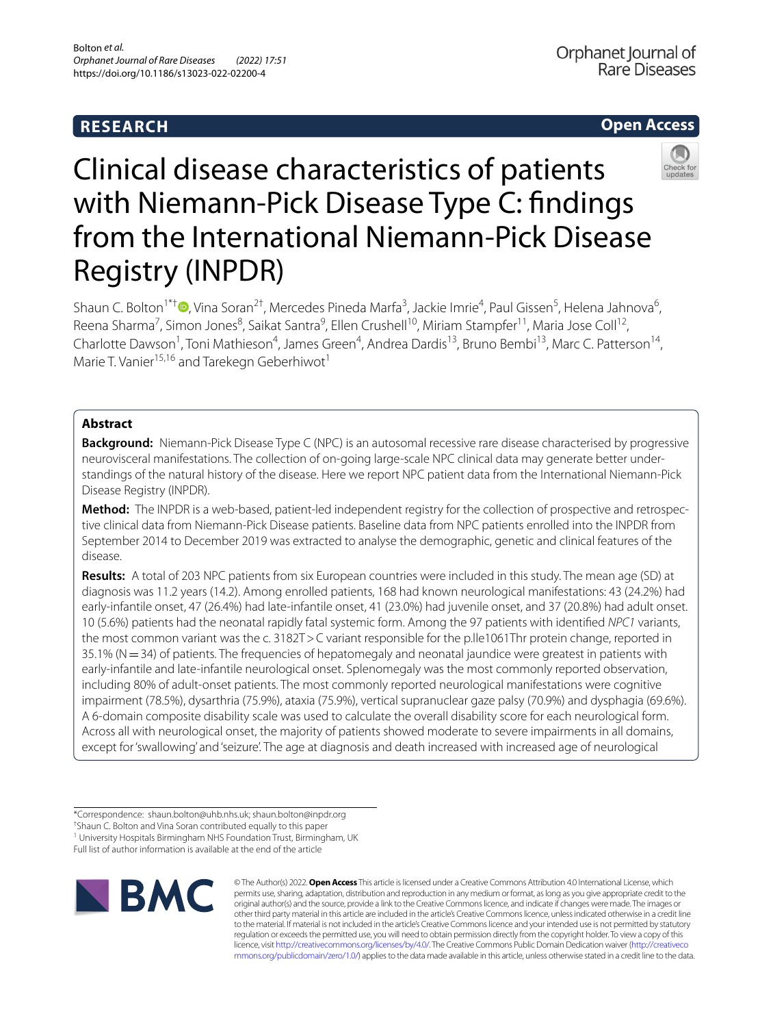# **RESEARCH**

# **Open Access**



# Clinical disease characteristics of patients with Niemann-Pick Disease Type C: findings from the International Niemann-Pick Disease Registry (INPDR)

Shaun C. Bolton<sup>1\*†</sup> <sup>D</sup>[,](http://orcid.org/0000-0003-0160-1505) Vina Soran<sup>2†</sup>, Mercedes Pineda Marfa<sup>3</sup>, Jackie Imrie<sup>4</sup>, Paul Gissen<sup>5</sup>, Helena Jahnova<sup>6</sup>, Reena Sharma<sup>7</sup>, Simon Jones<sup>8</sup>, Saikat Santra<sup>9</sup>, Ellen Crushell<sup>10</sup>, Miriam Stampfer<sup>11</sup>, Maria Jose Coll<sup>12</sup>, Charlotte Dawson<sup>1</sup>, Toni Mathieson<sup>4</sup>, James Green<sup>4</sup>, Andrea Dardis<sup>13</sup>, Bruno Bembi<sup>13</sup>, Marc C. Patterson<sup>14</sup>, Marie T. Vanier<sup>15,16</sup> and Tarekegn Geberhiwot<sup>1</sup>

# **Abstract**

**Background:** Niemann-Pick Disease Type C (NPC) is an autosomal recessive rare disease characterised by progressive neurovisceral manifestations. The collection of on-going large-scale NPC clinical data may generate better understandings of the natural history of the disease. Here we report NPC patient data from the International Niemann-Pick Disease Registry (INPDR).

**Method:** The INPDR is a web-based, patient-led independent registry for the collection of prospective and retrospective clinical data from Niemann-Pick Disease patients. Baseline data from NPC patients enrolled into the INPDR from September 2014 to December 2019 was extracted to analyse the demographic, genetic and clinical features of the disease.

**Results:** A total of 203 NPC patients from six European countries were included in this study. The mean age (SD) at diagnosis was 11.2 years (14.2). Among enrolled patients, 168 had known neurological manifestations: 43 (24.2%) had early-infantile onset, 47 (26.4%) had late-infantile onset, 41 (23.0%) had juvenile onset, and 37 (20.8%) had adult onset. 10 (5.6%) patients had the neonatal rapidly fatal systemic form. Among the 97 patients with identifed *NPC1* variants, the most common variant was the c. 3182T>C variant responsible for the p.lle1061Thr protein change, reported in  $35.1\%$  (N  $=$  34) of patients. The frequencies of hepatomegaly and neonatal jaundice were greatest in patients with early-infantile and late-infantile neurological onset. Splenomegaly was the most commonly reported observation, including 80% of adult-onset patients. The most commonly reported neurological manifestations were cognitive impairment (78.5%), dysarthria (75.9%), ataxia (75.9%), vertical supranuclear gaze palsy (70.9%) and dysphagia (69.6%). A 6-domain composite disability scale was used to calculate the overall disability score for each neurological form. Across all with neurological onset, the majority of patients showed moderate to severe impairments in all domains, except for 'swallowing' and 'seizure'. The age at diagnosis and death increased with increased age of neurological

Full list of author information is available at the end of the article



© The Author(s) 2022. **Open Access** This article is licensed under a Creative Commons Attribution 4.0 International License, which permits use, sharing, adaptation, distribution and reproduction in any medium or format, as long as you give appropriate credit to the original author(s) and the source, provide a link to the Creative Commons licence, and indicate if changes were made. The images or other third party material in this article are included in the article's Creative Commons licence, unless indicated otherwise in a credit line to the material. If material is not included in the article's Creative Commons licence and your intended use is not permitted by statutory regulation or exceeds the permitted use, you will need to obtain permission directly from the copyright holder. To view a copy of this licence, visit [http://creativecommons.org/licenses/by/4.0/.](http://creativecommons.org/licenses/by/4.0/) The Creative Commons Public Domain Dedication waiver ([http://creativeco](http://creativecommons.org/publicdomain/zero/1.0/) [mmons.org/publicdomain/zero/1.0/](http://creativecommons.org/publicdomain/zero/1.0/)) applies to the data made available in this article, unless otherwise stated in a credit line to the data.

<sup>\*</sup>Correspondence: shaun.bolton@uhb.nhs.uk; shaun.bolton@inpdr.org

<sup>†</sup> Shaun C. Bolton and Vina Soran contributed equally to this paper

<sup>&</sup>lt;sup>1</sup> University Hospitals Birmingham NHS Foundation Trust, Birmingham, UK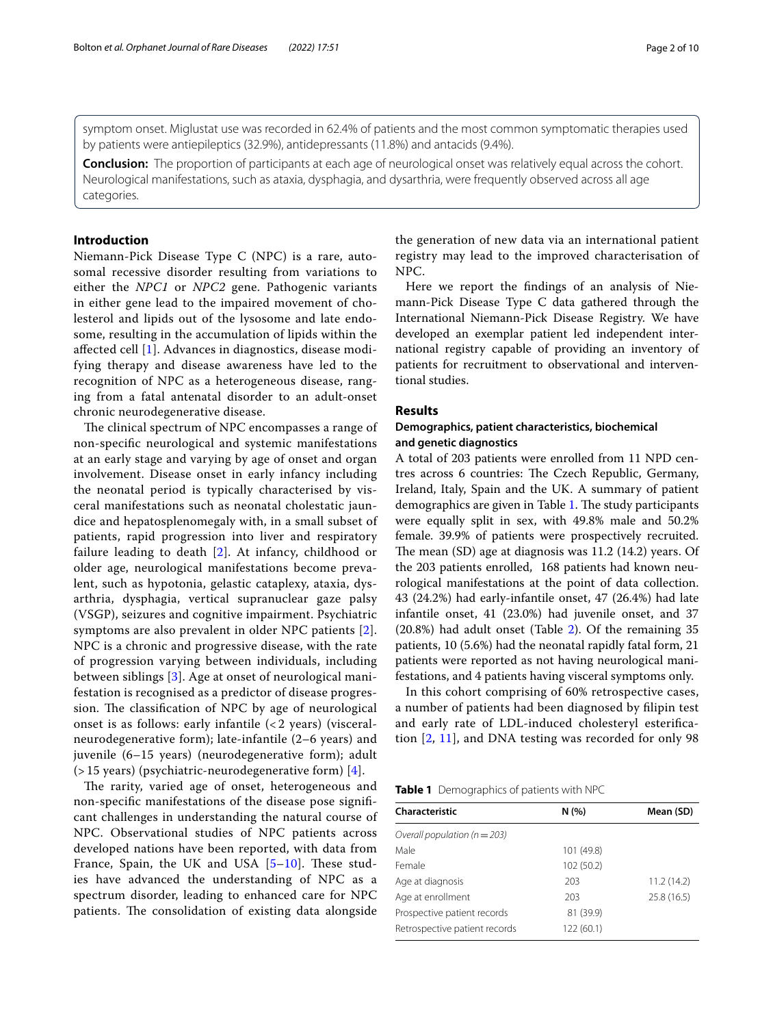symptom onset. Miglustat use was recorded in 62.4% of patients and the most common symptomatic therapies used by patients were antiepileptics (32.9%), antidepressants (11.8%) and antacids (9.4%).

**Conclusion:** The proportion of participants at each age of neurological onset was relatively equal across the cohort. Neurological manifestations, such as ataxia, dysphagia, and dysarthria, were frequently observed across all age categories.

# **Introduction**

Niemann-Pick Disease Type C (NPC) is a rare, autosomal recessive disorder resulting from variations to either the *NPC1* or *NPC2* gene. Pathogenic variants in either gene lead to the impaired movement of cholesterol and lipids out of the lysosome and late endosome, resulting in the accumulation of lipids within the afected cell [[1\]](#page-9-0). Advances in diagnostics, disease modifying therapy and disease awareness have led to the recognition of NPC as a heterogeneous disease, ranging from a fatal antenatal disorder to an adult-onset chronic neurodegenerative disease.

The clinical spectrum of NPC encompasses a range of non-specifc neurological and systemic manifestations at an early stage and varying by age of onset and organ involvement. Disease onset in early infancy including the neonatal period is typically characterised by visceral manifestations such as neonatal cholestatic jaundice and hepatosplenomegaly with, in a small subset of patients, rapid progression into liver and respiratory failure leading to death [\[2](#page-9-1)]. At infancy, childhood or older age, neurological manifestations become prevalent, such as hypotonia, gelastic cataplexy, ataxia, dysarthria, dysphagia, vertical supranuclear gaze palsy (VSGP), seizures and cognitive impairment. Psychiatric symptoms are also prevalent in older NPC patients [[2\]](#page-9-1). NPC is a chronic and progressive disease, with the rate of progression varying between individuals, including between siblings [\[3](#page-9-2)]. Age at onset of neurological manifestation is recognised as a predictor of disease progression. The classification of NPC by age of neurological onset is as follows: early infantile (< 2 years) (visceralneurodegenerative form); late-infantile (2–6 years) and juvenile (6–15 years) (neurodegenerative form); adult (> 15 years) (psychiatric-neurodegenerative form) [[4\]](#page-9-3).

The rarity, varied age of onset, heterogeneous and non-specifc manifestations of the disease pose signifcant challenges in understanding the natural course of NPC. Observational studies of NPC patients across developed nations have been reported, with data from France, Spain, the UK and USA  $[5-10]$  $[5-10]$  $[5-10]$ . These studies have advanced the understanding of NPC as a spectrum disorder, leading to enhanced care for NPC patients. The consolidation of existing data alongside

the generation of new data via an international patient registry may lead to the improved characterisation of NPC.

Here we report the fndings of an analysis of Niemann-Pick Disease Type C data gathered through the International Niemann-Pick Disease Registry. We have developed an exemplar patient led independent international registry capable of providing an inventory of patients for recruitment to observational and interventional studies.

# **Results**

# **Demographics, patient characteristics, biochemical and genetic diagnostics**

A total of 203 patients were enrolled from 11 NPD centres across 6 countries: The Czech Republic, Germany, Ireland, Italy, Spain and the UK. A summary of patient demographics are given in Table [1](#page-1-0). The study participants were equally split in sex, with 49.8% male and 50.2% female. 39.9% of patients were prospectively recruited. The mean  $(SD)$  age at diagnosis was  $11.2$   $(14.2)$  years. Of the 203 patients enrolled, 168 patients had known neurological manifestations at the point of data collection. 43 (24.2%) had early-infantile onset, 47 (26.4%) had late infantile onset, 41 (23.0%) had juvenile onset, and 37 (20.8%) had adult onset (Table [2\)](#page-2-0). Of the remaining 35 patients, 10 (5.6%) had the neonatal rapidly fatal form, 21 patients were reported as not having neurological manifestations, and 4 patients having visceral symptoms only.

In this cohort comprising of 60% retrospective cases, a number of patients had been diagnosed by flipin test and early rate of LDL-induced cholesteryl esterifcation [[2](#page-9-1), [11\]](#page-9-6), and DNA testing was recorded for only 98

<span id="page-1-0"></span>

| Table 1 Demographics of patients with NPC |  |
|-------------------------------------------|--|
|-------------------------------------------|--|

| Characteristic                   | N(%)       | Mean (SD)   |
|----------------------------------|------------|-------------|
| Overall population ( $n = 203$ ) |            |             |
| Male                             | 101 (49.8) |             |
| Female                           | 102 (50.2) |             |
| Age at diagnosis                 | 203        | 11.2(14.2)  |
| Age at enrollment                | 203        | 25.8 (16.5) |
| Prospective patient records      | 81 (39.9)  |             |
| Retrospective patient records    | 122 (60.1) |             |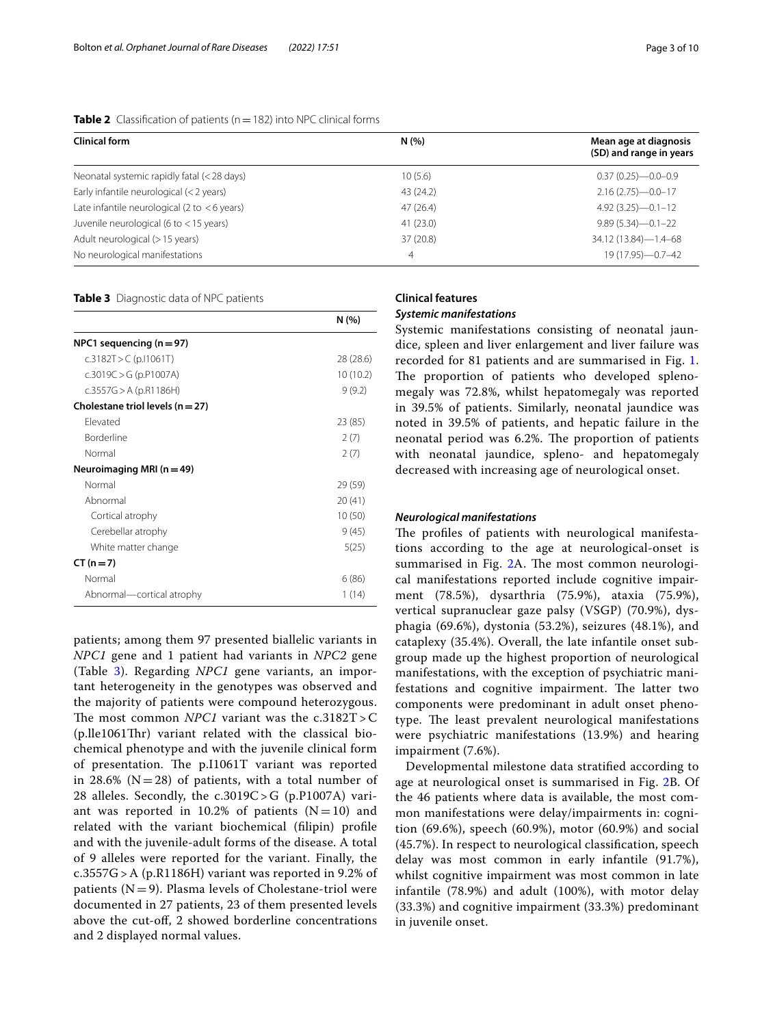| Clinical form                                  | N(%)      | Mean age at diagnosis    |  |
|------------------------------------------------|-----------|--------------------------|--|
|                                                |           | (SD) and range in years  |  |
| Neonatal systemic rapidly fatal (<28 days)     | 10(5.6)   | $0.37(0.25) - 0.0 - 0.9$ |  |
| Early infantile neurological (< 2 years)       | 43 (24.2) | $2.16(2.75) - 0.0 - 17$  |  |
| Late infantile neurological (2 to $<$ 6 years) | 47(26.4)  | $4.92(3.25) - 0.1 - 12$  |  |
| Juvenile neurological (6 to $<$ 15 years)      | 41(23.0)  | $9.89(5.34) - 0.1 - 22$  |  |
| Adult neurological (> 15 years)                | 37 (20.8) | 34.12 (13.84)-1.4-68     |  |
| No neurological manifestations                 | 4         | 19 (17.95) - 0.7 - 42    |  |

#### <span id="page-2-0"></span>**Table 2** Classification of patients (n = 182) into NPC clinical forms

## <span id="page-2-1"></span>**Table 3** Diagnostic data of NPC patients

|                                      | N(%)      |
|--------------------------------------|-----------|
| NPC1 sequencing $(n=97)$             |           |
| c.3182T > C (p.11061T)               | 28 (28.6) |
| c.3019C > G (p.P1007A)               | 10(10.2)  |
| c.3557G > A (p.R1186H)               | 9(9.2)    |
| Cholestane triol levels ( $n = 27$ ) |           |
| Flevated                             | 23 (85)   |
| <b>Borderline</b>                    | 2(7)      |
| Normal                               | 2(7)      |
| Neuroimaging MRI ( $n = 49$ )        |           |
| Normal                               | 29 (59)   |
| Abnormal                             | 20(41)    |
| Cortical atrophy                     | 10(50)    |
| Cerebellar atrophy                   | 9(45)     |
| White matter change                  | 5(25)     |
| $CT (n = 7)$                         |           |
| Normal                               | 6 (86)    |
| Abnormal-cortical atrophy            | 1 (14)    |

patients; among them 97 presented biallelic variants in *NPC1* gene and 1 patient had variants in *NPC2* gene (Table [3\)](#page-2-1). Regarding *NPC1* gene variants, an important heterogeneity in the genotypes was observed and the majority of patients were compound heterozygous. The most common *NPC1* variant was the  $c.3182T > C$  $(p$ .lle1061Thr) variant related with the classical biochemical phenotype and with the juvenile clinical form of presentation. The  $p.I1061T$  variant was reported in 28.6% ( $N=28$ ) of patients, with a total number of 28 alleles. Secondly, the  $c.3019C > G$  (p.P1007A) variant was reported in 10.2% of patients  $(N=10)$  and related with the variant biochemical (flipin) profle and with the juvenile-adult forms of the disease. A total of 9 alleles were reported for the variant. Finally, the c.3557G > A (p.R1186H) variant was reported in 9.2% of patients ( $N=9$ ). Plasma levels of Cholestane-triol were documented in 27 patients, 23 of them presented levels above the cut-of, 2 showed borderline concentrations and 2 displayed normal values.

# **Clinical features**

# *Systemic manifestations*

Systemic manifestations consisting of neonatal jaundice, spleen and liver enlargement and liver failure was recorded for 81 patients and are summarised in Fig. [1](#page-3-0). The proportion of patients who developed splenomegaly was 72.8%, whilst hepatomegaly was reported in 39.5% of patients. Similarly, neonatal jaundice was noted in 39.5% of patients, and hepatic failure in the neonatal period was 6.2%. The proportion of patients with neonatal jaundice, spleno- and hepatomegaly decreased with increasing age of neurological onset.

## *Neurological manifestations*

The profiles of patients with neurological manifestations according to the age at neurological-onset is summarised in Fig. [2](#page-4-0)A. The most common neurological manifestations reported include cognitive impairment (78.5%), dysarthria (75.9%), ataxia (75.9%), vertical supranuclear gaze palsy (VSGP) (70.9%), dysphagia (69.6%), dystonia (53.2%), seizures (48.1%), and cataplexy (35.4%). Overall, the late infantile onset subgroup made up the highest proportion of neurological manifestations, with the exception of psychiatric manifestations and cognitive impairment. The latter two components were predominant in adult onset phenotype. The least prevalent neurological manifestations were psychiatric manifestations (13.9%) and hearing impairment (7.6%).

Developmental milestone data stratifed according to age at neurological onset is summarised in Fig. [2](#page-4-0)B. Of the 46 patients where data is available, the most common manifestations were delay/impairments in: cognition (69.6%), speech (60.9%), motor (60.9%) and social (45.7%). In respect to neurological classifcation, speech delay was most common in early infantile (91.7%), whilst cognitive impairment was most common in late infantile (78.9%) and adult (100%), with motor delay (33.3%) and cognitive impairment (33.3%) predominant in juvenile onset.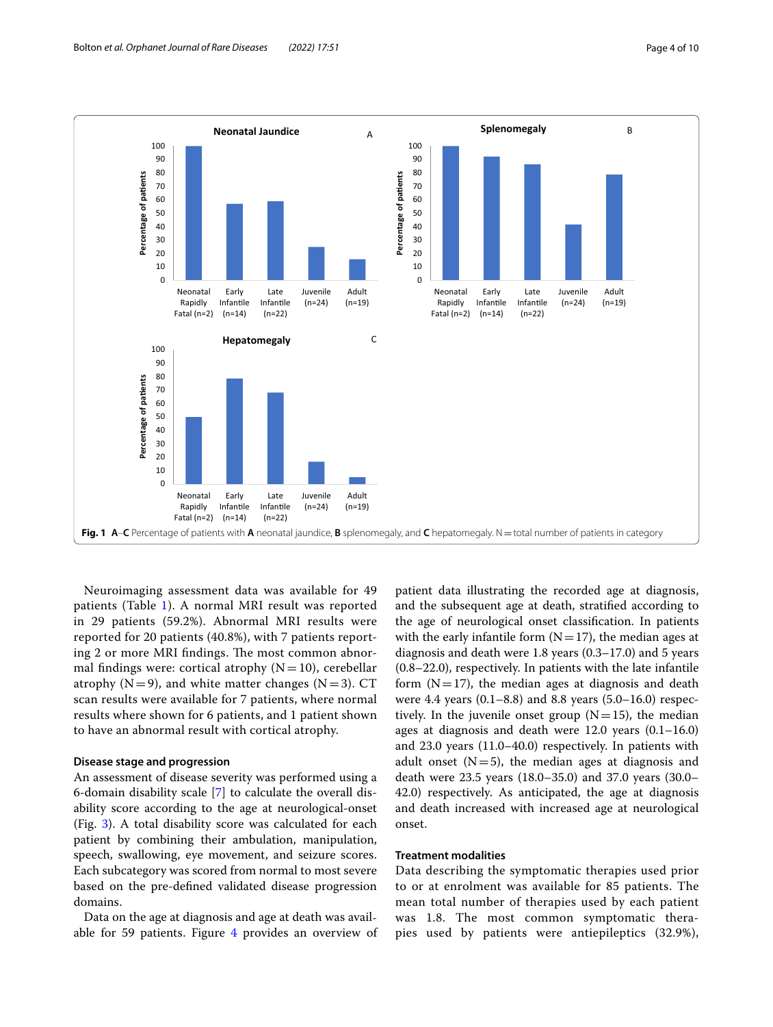

<span id="page-3-0"></span>Neuroimaging assessment data was available for 49 patients (Table [1](#page-1-0)). A normal MRI result was reported in 29 patients (59.2%). Abnormal MRI results were reported for 20 patients (40.8%), with 7 patients reporting 2 or more MRI findings. The most common abnormal findings were: cortical atrophy  $(N=10)$ , cerebellar atrophy  $(N=9)$ , and white matter changes  $(N=3)$ . CT scan results were available for 7 patients, where normal results where shown for 6 patients, and 1 patient shown to have an abnormal result with cortical atrophy.

## **Disease stage and progression**

An assessment of disease severity was performed using a 6-domain disability scale [[7\]](#page-9-7) to calculate the overall disability score according to the age at neurological-onset (Fig. [3](#page-5-0)). A total disability score was calculated for each patient by combining their ambulation, manipulation, speech, swallowing, eye movement, and seizure scores. Each subcategory was scored from normal to most severe based on the pre-defned validated disease progression domains.

Data on the age at diagnosis and age at death was available for 59 patients. Figure  $4$  provides an overview of

patient data illustrating the recorded age at diagnosis, and the subsequent age at death, stratifed according to the age of neurological onset classifcation. In patients with the early infantile form  $(N=17)$ , the median ages at diagnosis and death were 1.8 years (0.3–17.0) and 5 years (0.8–22.0), respectively. In patients with the late infantile form  $(N=17)$ , the median ages at diagnosis and death were 4.4 years (0.1–8.8) and 8.8 years (5.0–16.0) respectively. In the juvenile onset group  $(N=15)$ , the median ages at diagnosis and death were 12.0 years (0.1–16.0) and 23.0 years (11.0–40.0) respectively. In patients with adult onset  $(N=5)$ , the median ages at diagnosis and death were 23.5 years (18.0–35.0) and 37.0 years (30.0– 42.0) respectively. As anticipated, the age at diagnosis and death increased with increased age at neurological onset.

# **Treatment modalities**

Data describing the symptomatic therapies used prior to or at enrolment was available for 85 patients. The mean total number of therapies used by each patient was 1.8. The most common symptomatic therapies used by patients were antiepileptics (32.9%),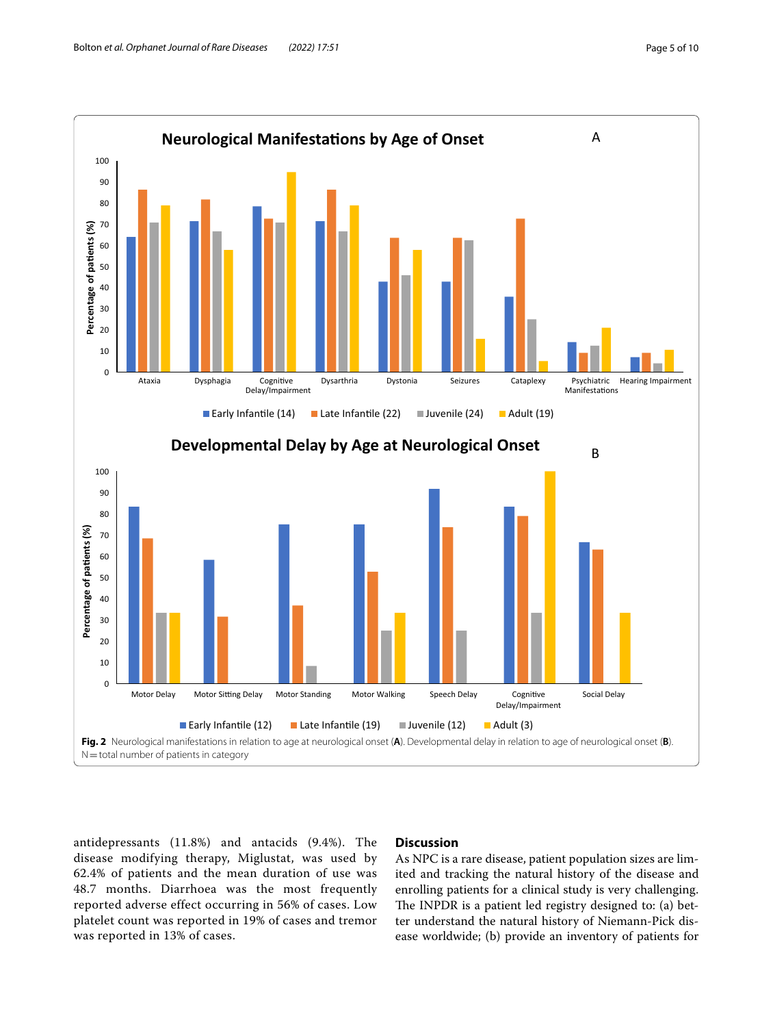

<span id="page-4-0"></span>antidepressants (11.8%) and antacids (9.4%). The disease modifying therapy, Miglustat, was used by 62.4% of patients and the mean duration of use was 48.7 months. Diarrhoea was the most frequently reported adverse effect occurring in 56% of cases. Low platelet count was reported in 19% of cases and tremor was reported in 13% of cases.

# **Discussion**

As NPC is a rare disease, patient population sizes are limited and tracking the natural history of the disease and enrolling patients for a clinical study is very challenging. The INPDR is a patient led registry designed to: (a) better understand the natural history of Niemann-Pick disease worldwide; (b) provide an inventory of patients for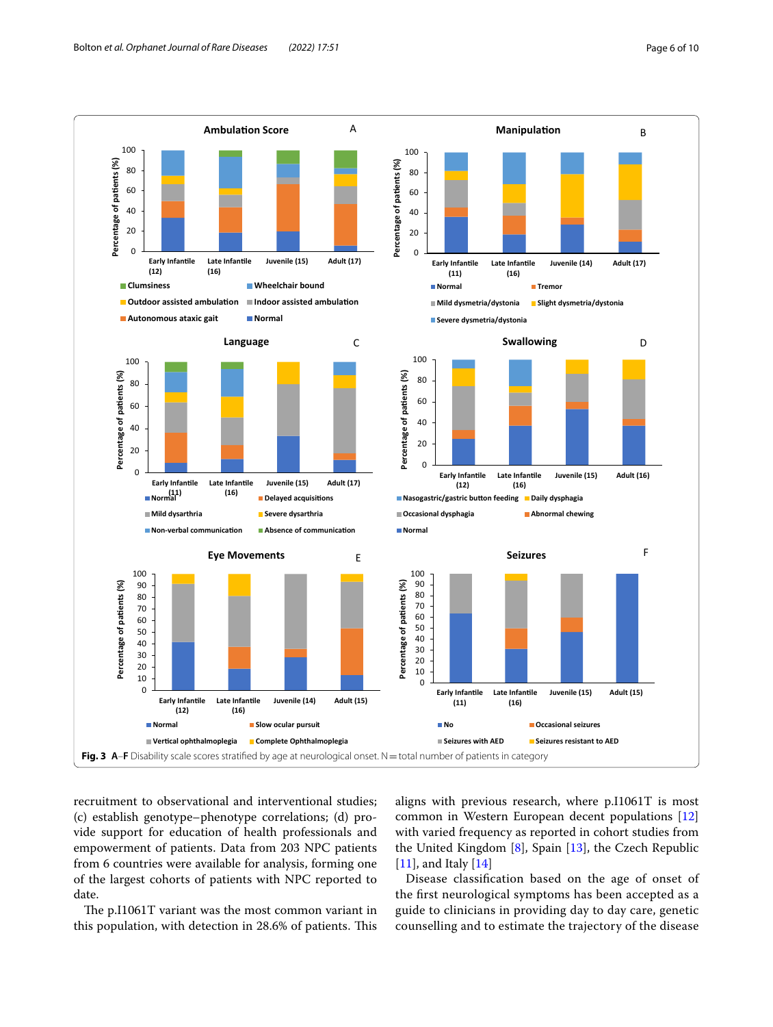

<span id="page-5-0"></span>recruitment to observational and interventional studies; (c) establish genotype–phenotype correlations; (d) provide support for education of health professionals and empowerment of patients. Data from 203 NPC patients from 6 countries were available for analysis, forming one of the largest cohorts of patients with NPC reported to date.

The p.I1061T variant was the most common variant in this population, with detection in 28.6% of patients. This aligns with previous research, where p.I1061T is most common in Western European decent populations [[12](#page-9-8)] with varied frequency as reported in cohort studies from the United Kingdom [[8\]](#page-9-9), Spain [\[13](#page-9-10)], the Czech Republic [[11\]](#page-9-6), and Italy [\[14](#page-9-11)]

Disease classifcation based on the age of onset of the frst neurological symptoms has been accepted as a guide to clinicians in providing day to day care, genetic counselling and to estimate the trajectory of the disease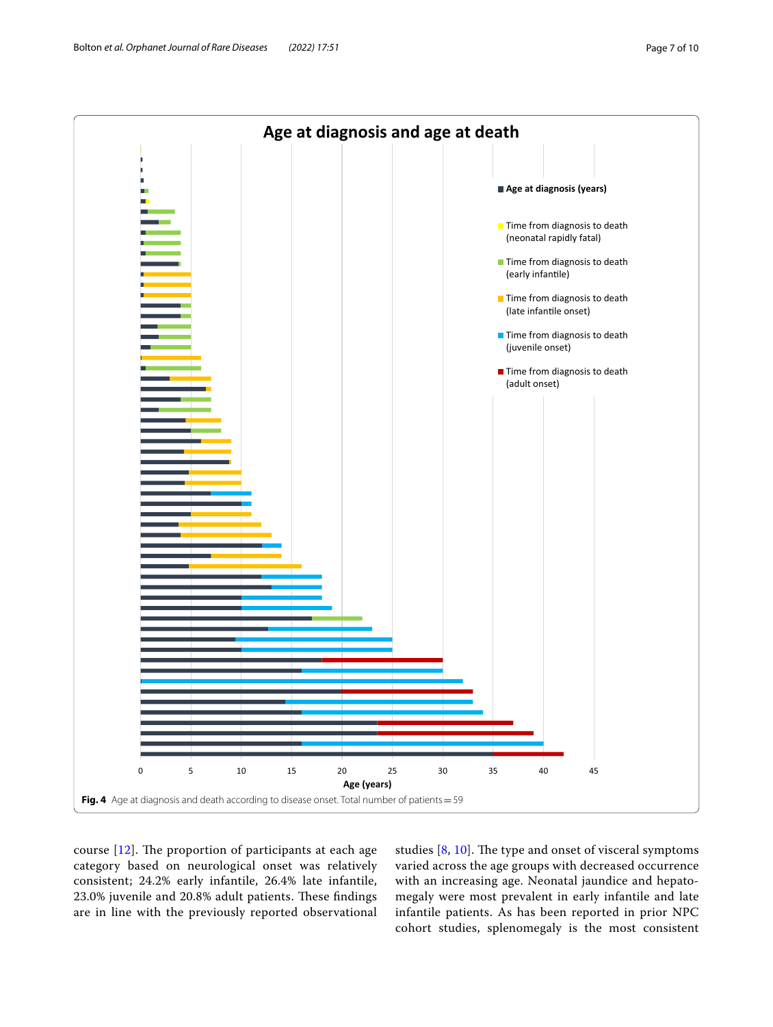

<span id="page-6-0"></span>course  $[12]$  $[12]$ . The proportion of participants at each age category based on neurological onset was relatively consistent; 24.2% early infantile, 26.4% late infantile, 23.0% juvenile and 20.8% adult patients. These findings are in line with the previously reported observational

studies  $[8, 10]$  $[8, 10]$  $[8, 10]$  $[8, 10]$ . The type and onset of visceral symptoms varied across the age groups with decreased occurrence with an increasing age. Neonatal jaundice and hepatomegaly were most prevalent in early infantile and late infantile patients. As has been reported in prior NPC cohort studies, splenomegaly is the most consistent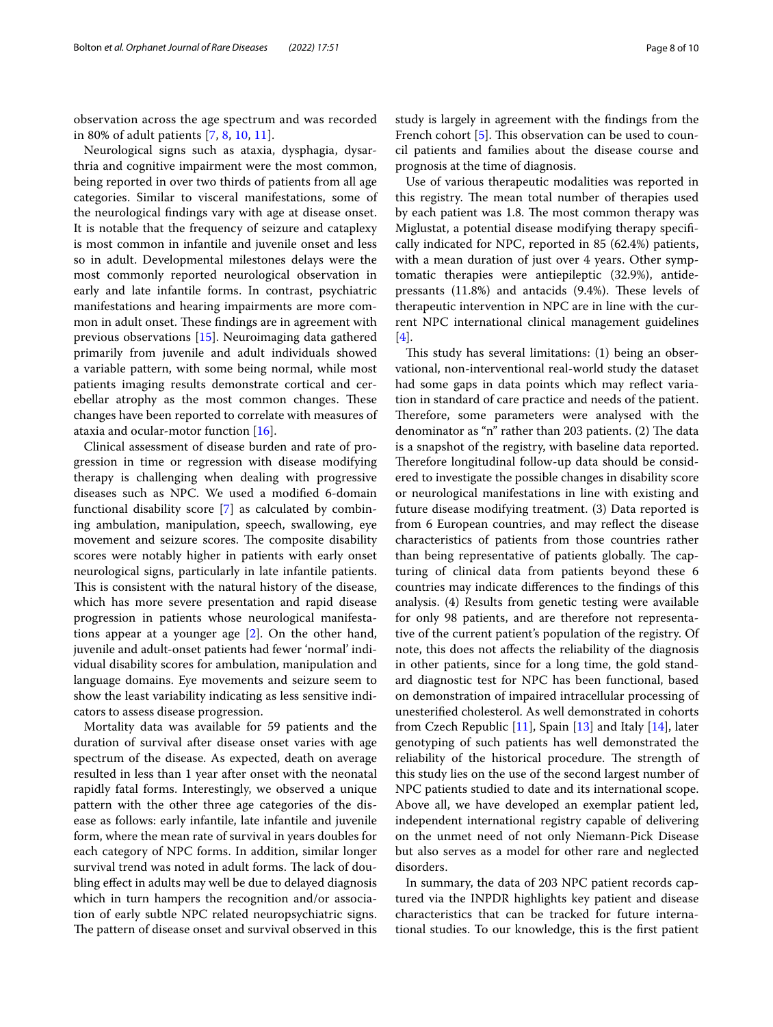observation across the age spectrum and was recorded in 80% of adult patients [\[7](#page-9-7), [8](#page-9-9), [10](#page-9-5), [11](#page-9-6)].

Neurological signs such as ataxia, dysphagia, dysarthria and cognitive impairment were the most common, being reported in over two thirds of patients from all age categories. Similar to visceral manifestations, some of the neurological fndings vary with age at disease onset. It is notable that the frequency of seizure and cataplexy is most common in infantile and juvenile onset and less so in adult. Developmental milestones delays were the most commonly reported neurological observation in early and late infantile forms. In contrast, psychiatric manifestations and hearing impairments are more common in adult onset. These findings are in agreement with previous observations [\[15](#page-9-12)]. Neuroimaging data gathered primarily from juvenile and adult individuals showed a variable pattern, with some being normal, while most patients imaging results demonstrate cortical and cerebellar atrophy as the most common changes. These changes have been reported to correlate with measures of ataxia and ocular-motor function [\[16\]](#page-9-13).

Clinical assessment of disease burden and rate of progression in time or regression with disease modifying therapy is challenging when dealing with progressive diseases such as NPC. We used a modifed 6-domain functional disability score [\[7](#page-9-7)] as calculated by combining ambulation, manipulation, speech, swallowing, eye movement and seizure scores. The composite disability scores were notably higher in patients with early onset neurological signs, particularly in late infantile patients. This is consistent with the natural history of the disease, which has more severe presentation and rapid disease progression in patients whose neurological manifestations appear at a younger age [\[2](#page-9-1)]. On the other hand, juvenile and adult-onset patients had fewer 'normal' individual disability scores for ambulation, manipulation and language domains. Eye movements and seizure seem to show the least variability indicating as less sensitive indicators to assess disease progression.

Mortality data was available for 59 patients and the duration of survival after disease onset varies with age spectrum of the disease. As expected, death on average resulted in less than 1 year after onset with the neonatal rapidly fatal forms. Interestingly, we observed a unique pattern with the other three age categories of the disease as follows: early infantile, late infantile and juvenile form, where the mean rate of survival in years doubles for each category of NPC forms. In addition, similar longer survival trend was noted in adult forms. The lack of doubling effect in adults may well be due to delayed diagnosis which in turn hampers the recognition and/or association of early subtle NPC related neuropsychiatric signs. The pattern of disease onset and survival observed in this study is largely in agreement with the fndings from the French cohort [[5\]](#page-9-4). This observation can be used to council patients and families about the disease course and prognosis at the time of diagnosis.

Use of various therapeutic modalities was reported in this registry. The mean total number of therapies used by each patient was 1.8. The most common therapy was Miglustat, a potential disease modifying therapy specifcally indicated for NPC, reported in 85 (62.4%) patients, with a mean duration of just over 4 years. Other symptomatic therapies were antiepileptic (32.9%), antidepressants  $(11.8%)$  and antacids  $(9.4%)$ . These levels of therapeutic intervention in NPC are in line with the current NPC international clinical management guidelines [[4\]](#page-9-3).

This study has several limitations: (1) being an observational, non-interventional real-world study the dataset had some gaps in data points which may refect variation in standard of care practice and needs of the patient. Therefore, some parameters were analysed with the denominator as "n" rather than 203 patients.  $(2)$  The data is a snapshot of the registry, with baseline data reported. Therefore longitudinal follow-up data should be considered to investigate the possible changes in disability score or neurological manifestations in line with existing and future disease modifying treatment. (3) Data reported is from 6 European countries, and may refect the disease characteristics of patients from those countries rather than being representative of patients globally. The capturing of clinical data from patients beyond these 6 countries may indicate diferences to the fndings of this analysis. (4) Results from genetic testing were available for only 98 patients, and are therefore not representative of the current patient's population of the registry. Of note, this does not afects the reliability of the diagnosis in other patients, since for a long time, the gold standard diagnostic test for NPC has been functional, based on demonstration of impaired intracellular processing of unesterifed cholesterol. As well demonstrated in cohorts from Czech Republic [[11\]](#page-9-6), Spain [[13](#page-9-10)] and Italy [\[14](#page-9-11)], later genotyping of such patients has well demonstrated the reliability of the historical procedure. The strength of this study lies on the use of the second largest number of NPC patients studied to date and its international scope. Above all, we have developed an exemplar patient led, independent international registry capable of delivering on the unmet need of not only Niemann-Pick Disease but also serves as a model for other rare and neglected disorders.

In summary, the data of 203 NPC patient records captured via the INPDR highlights key patient and disease characteristics that can be tracked for future international studies. To our knowledge, this is the frst patient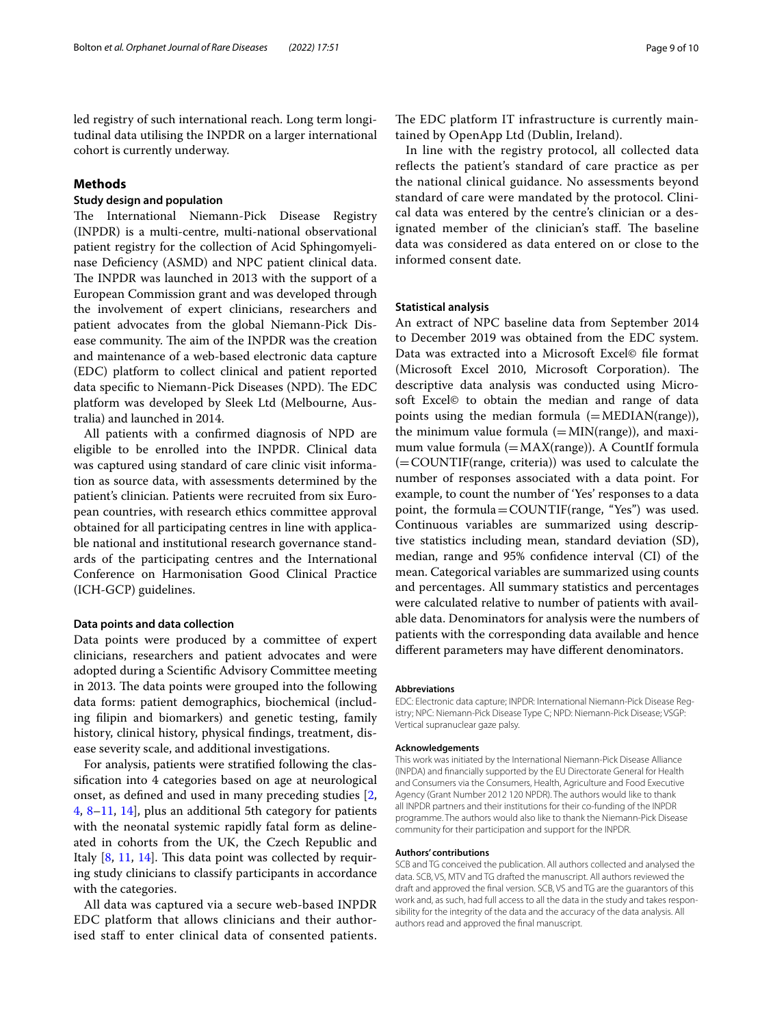led registry of such international reach. Long term longitudinal data utilising the INPDR on a larger international cohort is currently underway.

# **Methods**

# **Study design and population**

The International Niemann-Pick Disease Registry (INPDR) is a multi-centre, multi-national observational patient registry for the collection of Acid Sphingomyelinase Defciency (ASMD) and NPC patient clinical data. The INPDR was launched in 2013 with the support of a European Commission grant and was developed through the involvement of expert clinicians, researchers and patient advocates from the global Niemann-Pick Disease community. The aim of the INPDR was the creation and maintenance of a web-based electronic data capture (EDC) platform to collect clinical and patient reported data specific to Niemann-Pick Diseases (NPD). The EDC platform was developed by Sleek Ltd (Melbourne, Australia) and launched in 2014.

All patients with a confrmed diagnosis of NPD are eligible to be enrolled into the INPDR. Clinical data was captured using standard of care clinic visit information as source data, with assessments determined by the patient's clinician. Patients were recruited from six European countries, with research ethics committee approval obtained for all participating centres in line with applicable national and institutional research governance standards of the participating centres and the International Conference on Harmonisation Good Clinical Practice (ICH-GCP) guidelines.

## **Data points and data collection**

Data points were produced by a committee of expert clinicians, researchers and patient advocates and were adopted during a Scientifc Advisory Committee meeting in 2013. The data points were grouped into the following data forms: patient demographics, biochemical (including flipin and biomarkers) and genetic testing, family history, clinical history, physical fndings, treatment, disease severity scale, and additional investigations.

For analysis, patients were stratifed following the classifcation into 4 categories based on age at neurological onset, as defned and used in many preceding studies [\[2](#page-9-1), [4,](#page-9-3) [8–](#page-9-9)[11,](#page-9-6) [14\]](#page-9-11), plus an additional 5th category for patients with the neonatal systemic rapidly fatal form as delineated in cohorts from the UK, the Czech Republic and Italy  $[8, 11, 14]$  $[8, 11, 14]$  $[8, 11, 14]$  $[8, 11, 14]$  $[8, 11, 14]$  $[8, 11, 14]$  $[8, 11, 14]$ . This data point was collected by requiring study clinicians to classify participants in accordance with the categories.

All data was captured via a secure web-based INPDR EDC platform that allows clinicians and their authorised staff to enter clinical data of consented patients.

The EDC platform IT infrastructure is currently maintained by OpenApp Ltd (Dublin, Ireland).

In line with the registry protocol, all collected data reflects the patient's standard of care practice as per the national clinical guidance. No assessments beyond standard of care were mandated by the protocol. Clinical data was entered by the centre's clinician or a designated member of the clinician's staff. The baseline data was considered as data entered on or close to the informed consent date.

## **Statistical analysis**

An extract of NPC baseline data from September 2014 to December 2019 was obtained from the EDC system. Data was extracted into a Microsoft Excel© fle format (Microsoft Excel 2010, Microsoft Corporation). The descriptive data analysis was conducted using Microsoft Excel© to obtain the median and range of data points using the median formula  $(=\text{MEDIAN}(\text{range}))$ , the minimum value formula  $(=\text{MIN}(\text{range}))$ , and maximum value formula  $(=\text{MAX}(\text{range}))$ . A Countif formula (=COUNTIF(range, criteria)) was used to calculate the number of responses associated with a data point. For example, to count the number of 'Yes' responses to a data point, the formula=COUNTIF(range, "Yes") was used. Continuous variables are summarized using descriptive statistics including mean, standard deviation (SD), median, range and 95% confdence interval (CI) of the mean. Categorical variables are summarized using counts and percentages. All summary statistics and percentages were calculated relative to number of patients with available data. Denominators for analysis were the numbers of patients with the corresponding data available and hence diferent parameters may have diferent denominators.

#### **Abbreviations**

EDC: Electronic data capture; INPDR: International Niemann-Pick Disease Registry; NPC: Niemann-Pick Disease Type C; NPD: Niemann-Pick Disease; VSGP: Vertical supranuclear gaze palsy.

#### **Acknowledgements**

This work was initiated by the International Niemann-Pick Disease Alliance (INPDA) and fnancially supported by the EU Directorate General for Health and Consumers via the Consumers, Health, Agriculture and Food Executive Agency (Grant Number 2012 120 NPDR). The authors would like to thank all INPDR partners and their institutions for their co-funding of the INPDR programme. The authors would also like to thank the Niemann-Pick Disease community for their participation and support for the INPDR.

#### **Authors' contributions**

SCB and TG conceived the publication. All authors collected and analysed the data. SCB, VS, MTV and TG drafted the manuscript. All authors reviewed the draft and approved the fnal version. SCB, VS and TG are the guarantors of this work and, as such, had full access to all the data in the study and takes responsibility for the integrity of the data and the accuracy of the data analysis. All authors read and approved the fnal manuscript.